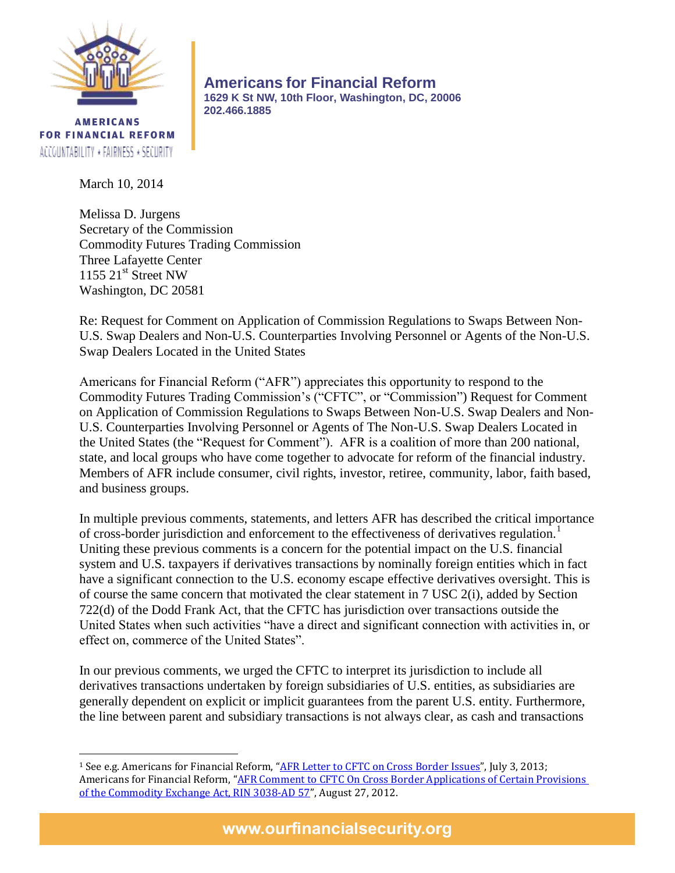

**AMERICANS FOR FINANCIAL REFORM** ACCOUNTABILITY \* FAIRNESS \* SECURITY

**Americans for Financial Reform 1629 K St NW, 10th Floor, Washington, DC, 20006 202.466.1885**

March 10, 2014

Melissa D. Jurgens Secretary of the Commission Commodity Futures Trading Commission Three Lafayette Center  $1155$   $21<sup>st</sup>$  Street NW Washington, DC 20581

Re: Request for Comment on Application of Commission Regulations to Swaps Between Non-U.S. Swap Dealers and Non-U.S. Counterparties Involving Personnel or Agents of the Non-U.S. Swap Dealers Located in the United States

Americans for Financial Reform ("AFR") appreciates this opportunity to respond to the Commodity Futures Trading Commission's ("CFTC", or "Commission") Request for Comment on Application of Commission Regulations to Swaps Between Non-U.S. Swap Dealers and Non-U.S. Counterparties Involving Personnel or Agents of The Non-U.S. Swap Dealers Located in the United States (the "Request for Comment"). AFR is a coalition of more than 200 national, state, and local groups who have come together to advocate for reform of the financial industry. Members of AFR include consumer, civil rights, investor, retiree, community, labor, faith based, and business groups.

In multiple previous comments, statements, and letters AFR has described the critical importance of cross-border jurisdiction and enforcement to the effectiveness of derivatives regulation.<sup>1</sup> Uniting these previous comments is a concern for the potential impact on the U.S. financial system and U.S. taxpayers if derivatives transactions by nominally foreign entities which in fact have a significant connection to the U.S. economy escape effective derivatives oversight. This is of course the same concern that motivated the clear statement in 7 USC 2(i), added by Section 722(d) of the Dodd Frank Act, that the CFTC has jurisdiction over transactions outside the United States when such activities "have a direct and significant connection with activities in, or effect on, commerce of the United States".

In our previous comments, we urged the CFTC to interpret its jurisdiction to include all derivatives transactions undertaken by foreign subsidiaries of U.S. entities, as subsidiaries are generally dependent on explicit or implicit guarantees from the parent U.S. entity. Furthermore, the line between parent and subsidiary transactions is not always clear, as cash and transactions

www.ourfinancialsecurity.org

 $\overline{\phantom{a}}$ <sup>1</sup> See e.g. Americans for Financial Reform, "[AFR Letter to CFTC on Cross Border Issues](http://ourfinancialsecurity.org/blogs/wp-content/ourfinancialsecurity.org/uploads/2013/07/AFR-Letter-to-the-CFTC-on-Cross-Border-7-3-2013.pdf)", July 3, 2013; Americans for Financial Reform, "AFR Comment to CFTC On Cross Border Applications of Certain Provisions [of the Commodity Exchange Act, RIN](http://ourfinancialsecurity.org/blogs/wp-content/ourfinancialsecurity.org/uploads/2012/08/AFR-CFTC-Cross-Border-Comment-letter-8-27-12.pdf) 3038-AD 57", August 27, 2012.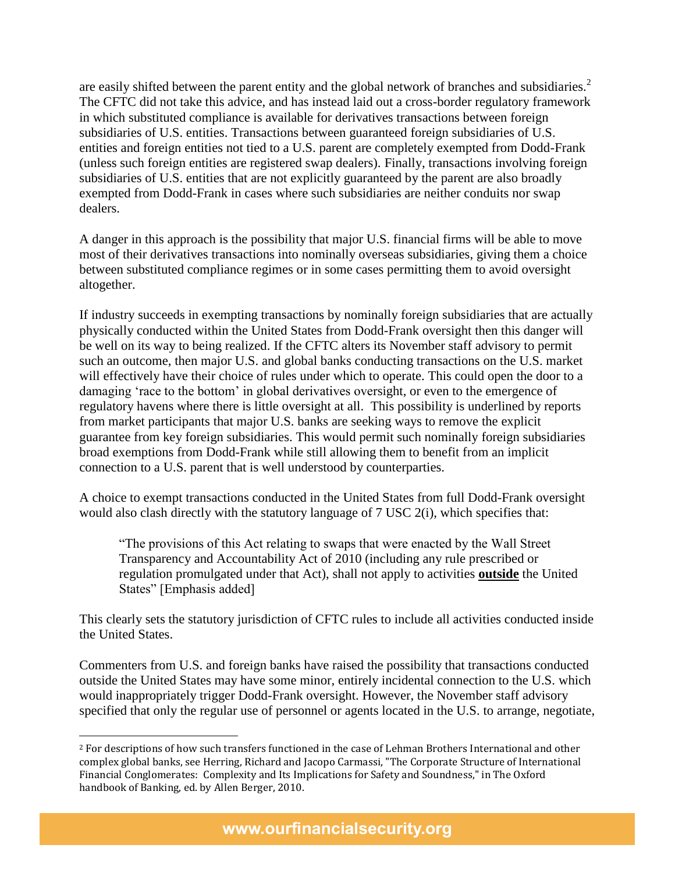are easily shifted between the parent entity and the global network of branches and subsidiaries.<sup>2</sup> The CFTC did not take this advice, and has instead laid out a cross-border regulatory framework in which substituted compliance is available for derivatives transactions between foreign subsidiaries of U.S. entities. Transactions between guaranteed foreign subsidiaries of U.S. entities and foreign entities not tied to a U.S. parent are completely exempted from Dodd-Frank (unless such foreign entities are registered swap dealers). Finally, transactions involving foreign subsidiaries of U.S. entities that are not explicitly guaranteed by the parent are also broadly exempted from Dodd-Frank in cases where such subsidiaries are neither conduits nor swap dealers.

A danger in this approach is the possibility that major U.S. financial firms will be able to move most of their derivatives transactions into nominally overseas subsidiaries, giving them a choice between substituted compliance regimes or in some cases permitting them to avoid oversight altogether.

If industry succeeds in exempting transactions by nominally foreign subsidiaries that are actually physically conducted within the United States from Dodd-Frank oversight then this danger will be well on its way to being realized. If the CFTC alters its November staff advisory to permit such an outcome, then major U.S. and global banks conducting transactions on the U.S. market will effectively have their choice of rules under which to operate. This could open the door to a damaging 'race to the bottom' in global derivatives oversight, or even to the emergence of regulatory havens where there is little oversight at all. This possibility is underlined by reports from market participants that major U.S. banks are seeking ways to remove the explicit guarantee from key foreign subsidiaries. This would permit such nominally foreign subsidiaries broad exemptions from Dodd-Frank while still allowing them to benefit from an implicit connection to a U.S. parent that is well understood by counterparties.

A choice to exempt transactions conducted in the United States from full Dodd-Frank oversight would also clash directly with the statutory language of 7 USC 2(i), which specifies that:

"The provisions of this Act relating to swaps that were enacted by the Wall Street Transparency and Accountability Act of 2010 (including any rule prescribed or regulation promulgated under that Act), shall not apply to activities **outside** the United States" [Emphasis added]

This clearly sets the statutory jurisdiction of CFTC rules to include all activities conducted inside the United States.

Commenters from U.S. and foreign banks have raised the possibility that transactions conducted outside the United States may have some minor, entirely incidental connection to the U.S. which would inappropriately trigger Dodd-Frank oversight. However, the November staff advisory specified that only the regular use of personnel or agents located in the U.S. to arrange, negotiate,

 $\overline{a}$ 

<sup>2</sup> For descriptions of how such transfers functioned in the case of Lehman Brothers International and other complex global banks, see Herring, Richard and Jacopo Carmassi, "The Corporate Structure of International Financial Conglomerates: Complexity and Its Implications for Safety and Soundness," in The Oxford handbook of Banking, ed. by Allen Berger, 2010.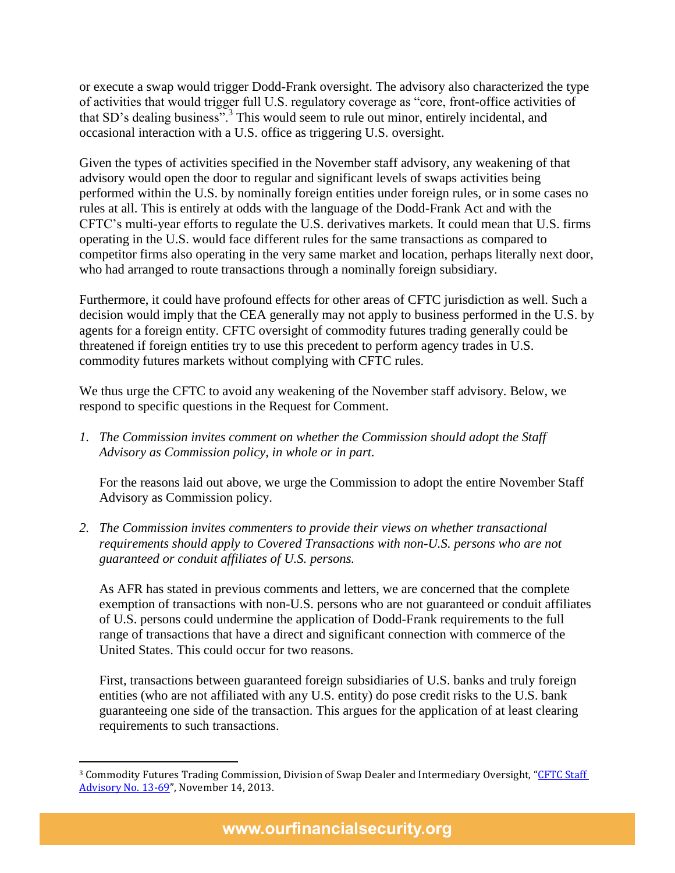or execute a swap would trigger Dodd-Frank oversight. The advisory also characterized the type of activities that would trigger full U.S. regulatory coverage as "core, front-office activities of that SD's dealing business".<sup>3</sup> This would seem to rule out minor, entirely incidental, and occasional interaction with a U.S. office as triggering U.S. oversight.

Given the types of activities specified in the November staff advisory, any weakening of that advisory would open the door to regular and significant levels of swaps activities being performed within the U.S. by nominally foreign entities under foreign rules, or in some cases no rules at all. This is entirely at odds with the language of the Dodd-Frank Act and with the CFTC's multi-year efforts to regulate the U.S. derivatives markets. It could mean that U.S. firms operating in the U.S. would face different rules for the same transactions as compared to competitor firms also operating in the very same market and location, perhaps literally next door, who had arranged to route transactions through a nominally foreign subsidiary.

Furthermore, it could have profound effects for other areas of CFTC jurisdiction as well. Such a decision would imply that the CEA generally may not apply to business performed in the U.S. by agents for a foreign entity. CFTC oversight of commodity futures trading generally could be threatened if foreign entities try to use this precedent to perform agency trades in U.S. commodity futures markets without complying with CFTC rules.

We thus urge the CFTC to avoid any weakening of the November staff advisory. Below, we respond to specific questions in the Request for Comment.

*1. The Commission invites comment on whether the Commission should adopt the Staff Advisory as Commission policy, in whole or in part.* 

For the reasons laid out above, we urge the Commission to adopt the entire November Staff Advisory as Commission policy.

*2. The Commission invites commenters to provide their views on whether transactional requirements should apply to Covered Transactions with non-U.S. persons who are not guaranteed or conduit affiliates of U.S. persons.*

As AFR has stated in previous comments and letters, we are concerned that the complete exemption of transactions with non-U.S. persons who are not guaranteed or conduit affiliates of U.S. persons could undermine the application of Dodd-Frank requirements to the full range of transactions that have a direct and significant connection with commerce of the United States. This could occur for two reasons.

First, transactions between guaranteed foreign subsidiaries of U.S. banks and truly foreign entities (who are not affiliated with any U.S. entity) do pose credit risks to the U.S. bank guaranteeing one side of the transaction. This argues for the application of at least clearing requirements to such transactions.

 $\overline{\phantom{a}}$ 

www.ourfinancialsecurity.org

<sup>&</sup>lt;sup>3</sup> Commodity Futures Trading Commission, Division of Swap Dealer and Intermediary Oversight, "CFTC Staff [Advisory No. 13-69](http://www.cftc.gov/ucm/groups/public/@lrlettergeneral/documents/letter/13-69.pdf)", November 14, 2013.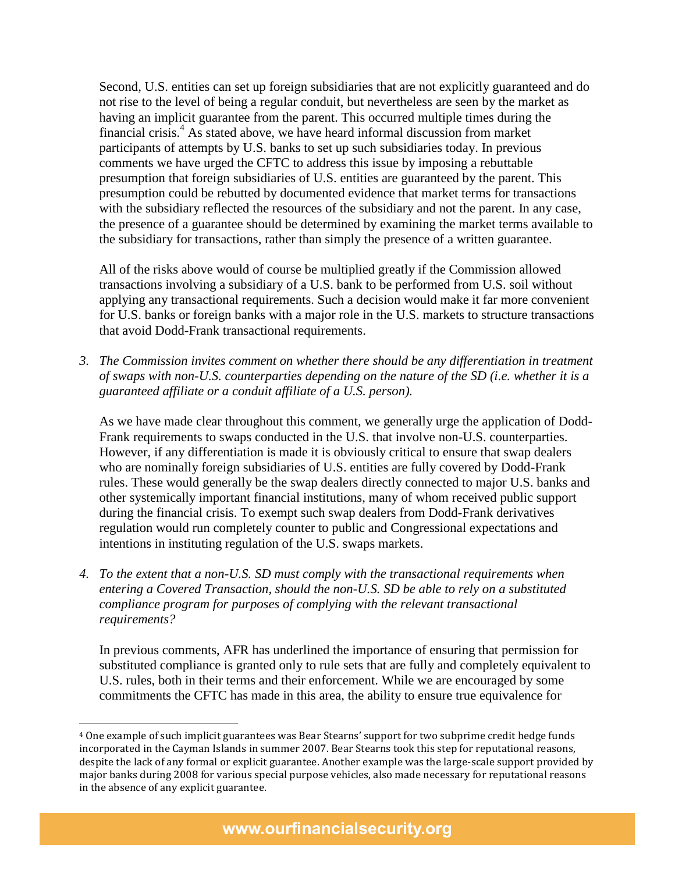Second, U.S. entities can set up foreign subsidiaries that are not explicitly guaranteed and do not rise to the level of being a regular conduit, but nevertheless are seen by the market as having an implicit guarantee from the parent. This occurred multiple times during the financial crisis.<sup>4</sup> As stated above, we have heard informal discussion from market participants of attempts by U.S. banks to set up such subsidiaries today. In previous comments we have urged the CFTC to address this issue by imposing a rebuttable presumption that foreign subsidiaries of U.S. entities are guaranteed by the parent. This presumption could be rebutted by documented evidence that market terms for transactions with the subsidiary reflected the resources of the subsidiary and not the parent. In any case, the presence of a guarantee should be determined by examining the market terms available to the subsidiary for transactions, rather than simply the presence of a written guarantee.

All of the risks above would of course be multiplied greatly if the Commission allowed transactions involving a subsidiary of a U.S. bank to be performed from U.S. soil without applying any transactional requirements. Such a decision would make it far more convenient for U.S. banks or foreign banks with a major role in the U.S. markets to structure transactions that avoid Dodd-Frank transactional requirements.

*3. The Commission invites comment on whether there should be any differentiation in treatment of swaps with non-U.S. counterparties depending on the nature of the SD (i.e. whether it is a guaranteed affiliate or a conduit affiliate of a U.S. person).*

As we have made clear throughout this comment, we generally urge the application of Dodd-Frank requirements to swaps conducted in the U.S. that involve non-U.S. counterparties. However, if any differentiation is made it is obviously critical to ensure that swap dealers who are nominally foreign subsidiaries of U.S. entities are fully covered by Dodd-Frank rules. These would generally be the swap dealers directly connected to major U.S. banks and other systemically important financial institutions, many of whom received public support during the financial crisis. To exempt such swap dealers from Dodd-Frank derivatives regulation would run completely counter to public and Congressional expectations and intentions in instituting regulation of the U.S. swaps markets.

*4. To the extent that a non-U.S. SD must comply with the transactional requirements when entering a Covered Transaction, should the non-U.S. SD be able to rely on a substituted compliance program for purposes of complying with the relevant transactional requirements?*

In previous comments, AFR has underlined the importance of ensuring that permission for substituted compliance is granted only to rule sets that are fully and completely equivalent to U.S. rules, both in their terms and their enforcement. While we are encouraged by some commitments the CFTC has made in this area, the ability to ensure true equivalence for

 $\overline{a}$ 

<sup>4</sup> One example of such implicit guarantees was Bear Stearns' support for two subprime credit hedge funds incorporated in the Cayman Islands in summer 2007. Bear Stearns took this step for reputational reasons, despite the lack of any formal or explicit guarantee. Another example was the large-scale support provided by major banks during 2008 for various special purpose vehicles, also made necessary for reputational reasons in the absence of any explicit guarantee.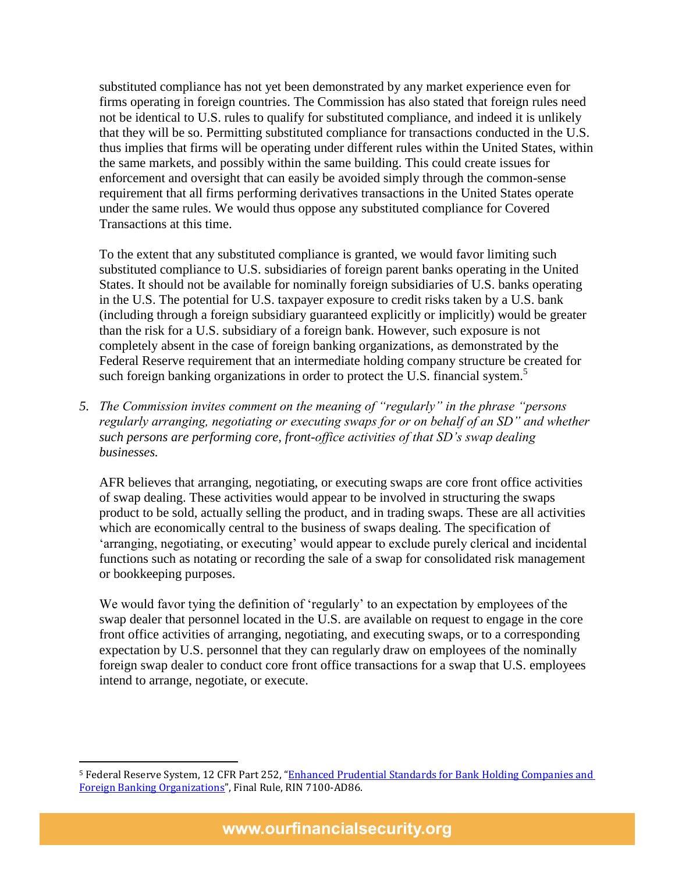substituted compliance has not yet been demonstrated by any market experience even for firms operating in foreign countries. The Commission has also stated that foreign rules need not be identical to U.S. rules to qualify for substituted compliance, and indeed it is unlikely that they will be so. Permitting substituted compliance for transactions conducted in the U.S. thus implies that firms will be operating under different rules within the United States, within the same markets, and possibly within the same building. This could create issues for enforcement and oversight that can easily be avoided simply through the common-sense requirement that all firms performing derivatives transactions in the United States operate under the same rules. We would thus oppose any substituted compliance for Covered Transactions at this time.

To the extent that any substituted compliance is granted, we would favor limiting such substituted compliance to U.S. subsidiaries of foreign parent banks operating in the United States. It should not be available for nominally foreign subsidiaries of U.S. banks operating in the U.S. The potential for U.S. taxpayer exposure to credit risks taken by a U.S. bank (including through a foreign subsidiary guaranteed explicitly or implicitly) would be greater than the risk for a U.S. subsidiary of a foreign bank. However, such exposure is not completely absent in the case of foreign banking organizations, as demonstrated by the Federal Reserve requirement that an intermediate holding company structure be created for such foreign banking organizations in order to protect the U.S. financial system.<sup>5</sup>

*5. The Commission invites comment on the meaning of "regularly" in the phrase "persons regularly arranging, negotiating or executing swaps for or on behalf of an SD" and whether such persons are performing core, front-office activities of that SD's swap dealing businesses.*

AFR believes that arranging, negotiating, or executing swaps are core front office activities of swap dealing. These activities would appear to be involved in structuring the swaps product to be sold, actually selling the product, and in trading swaps. These are all activities which are economically central to the business of swaps dealing. The specification of 'arranging, negotiating, or executing' would appear to exclude purely clerical and incidental functions such as notating or recording the sale of a swap for consolidated risk management or bookkeeping purposes.

We would favor tying the definition of 'regularly' to an expectation by employees of the swap dealer that personnel located in the U.S. are available on request to engage in the core front office activities of arranging, negotiating, and executing swaps, or to a corresponding expectation by U.S. personnel that they can regularly draw on employees of the nominally foreign swap dealer to conduct core front office transactions for a swap that U.S. employees intend to arrange, negotiate, or execute.

 $\overline{\phantom{a}}$ 

<sup>&</sup>lt;sup>5</sup> Federal Reserve System, 12 CFR Part 252, "Enhanced Prudential Standards for Bank Holding Companies and [Foreign Banking Organizations](http://www.federalreserve.gov/newsevents/press/bcreg/bcreg20140218a1.pdf)", Final Rule, RIN 7100-AD86.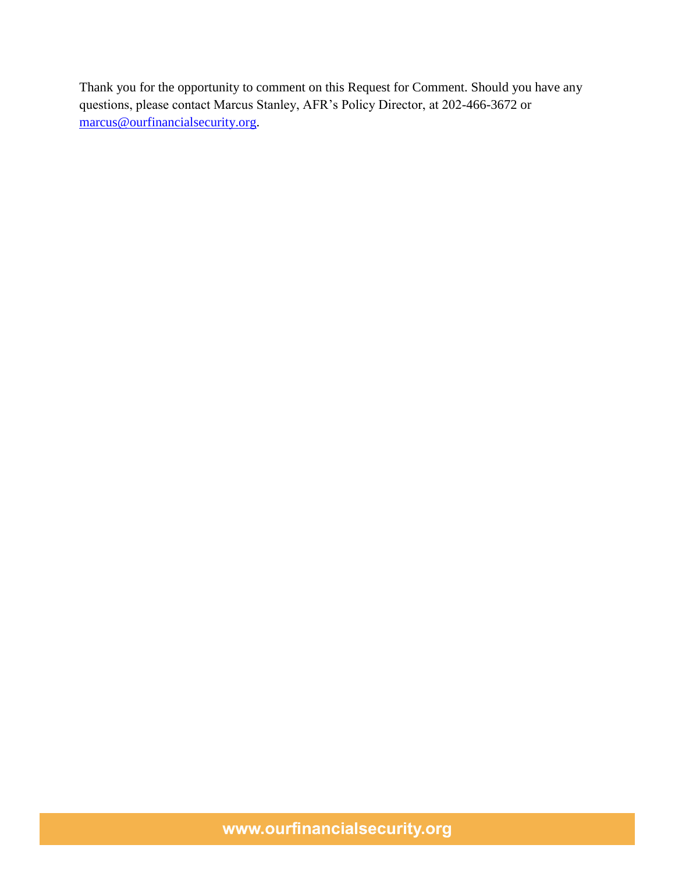Thank you for the opportunity to comment on this Request for Comment. Should you have any questions, please contact Marcus Stanley, AFR's Policy Director, at 202-466-3672 or [marcus@ourfinancialsecurity.org.](mailto:marcus@ourfinancialsecurity.org)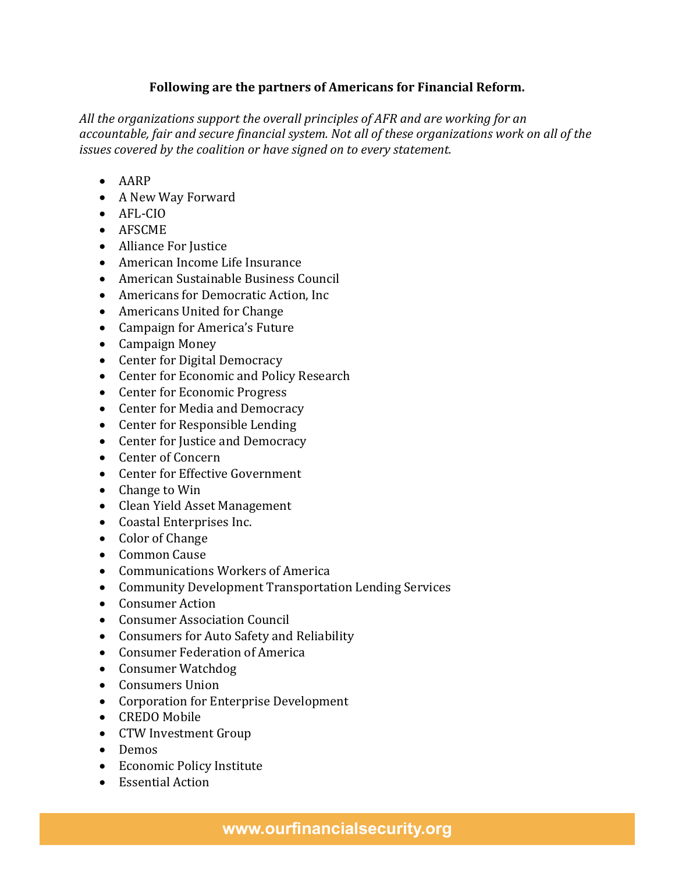## **Following are the partners of Americans for Financial Reform.**

*All the organizations support the overall principles of AFR and are working for an accountable, fair and secure financial system. Not all of these organizations work on all of the issues covered by the coalition or have signed on to every statement.*

- AARP
- A New Way Forward
- AFL-CIO
- AFSCME
- Alliance For Justice
- American Income Life Insurance
- American Sustainable Business Council
- Americans for Democratic Action, Inc.
- Americans United for Change
- Campaign for America's Future
- Campaign Money
- Center for Digital Democracy
- Center for Economic and Policy Research
- Center for Economic Progress
- Center for Media and Democracy
- Center for Responsible Lending
- Center for Justice and Democracy
- Center of Concern
- Center for Effective Government
- Change to Win
- Clean Yield Asset Management
- Coastal Enterprises Inc.
- Color of Change
- Common Cause
- Communications Workers of America
- Community Development Transportation Lending Services
- Consumer Action
- Consumer Association Council
- Consumers for Auto Safety and Reliability
- Consumer Federation of America
- Consumer Watchdog
- Consumers Union
- Corporation for Enterprise Development
- CREDO Mobile
- CTW Investment Group
- Demos
- Economic Policy Institute
- Essential Action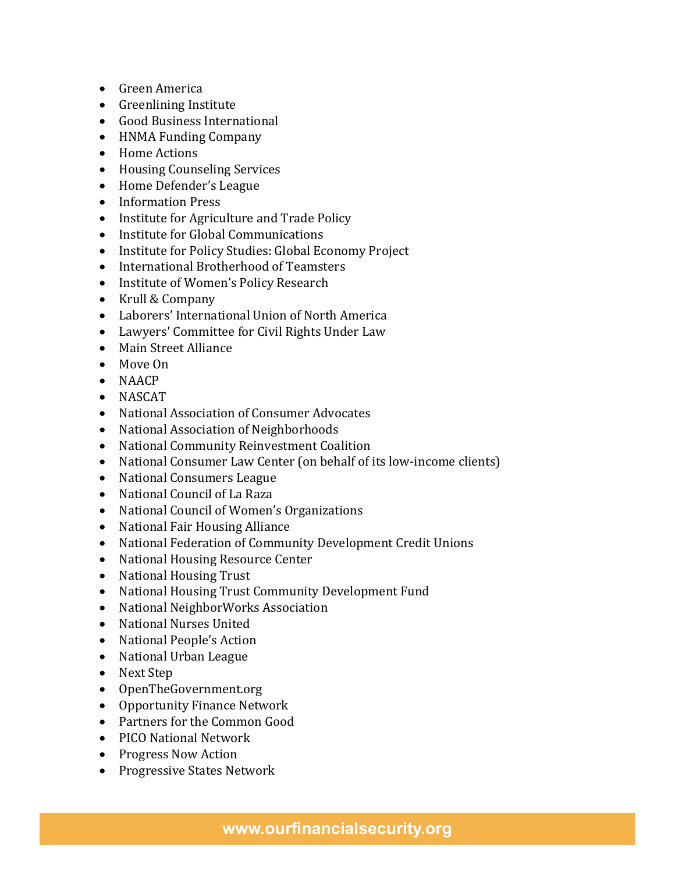- Green America
- Greenlining Institute
- Good Business International
- HNMA Funding Company
- Home Actions
- Housing Counseling Services
- Home Defender's League
- Information Press
- Institute for Agriculture and Trade Policy
- Institute for Global Communications
- Institute for Policy Studies: Global Economy Project
- International Brotherhood of Teamsters
- Institute of Women's Policy Research
- Krull & Company
- Laborers' International Union of North America
- Lawyers' Committee for Civil Rights Under Law
- Main Street Alliance
- Move On
- NAACP
- NASCAT
- National Association of Consumer Advocates
- National Association of Neighborhoods
- National Community Reinvestment Coalition
- National Consumer Law Center (on behalf of its low-income clients)
- National Consumers League
- National Council of La Raza
- National Council of Women's Organizations
- National Fair Housing Alliance
- National Federation of Community Development Credit Unions
- National Housing Resource Center
- National Housing Trust
- National Housing Trust Community Development Fund
- National NeighborWorks Association
- National Nurses United
- National People's Action
- National Urban League
- Next Step
- OpenTheGovernment.org
- Opportunity Finance Network
- Partners for the Common Good
- PICO National Network
- Progress Now Action
- Progressive States Network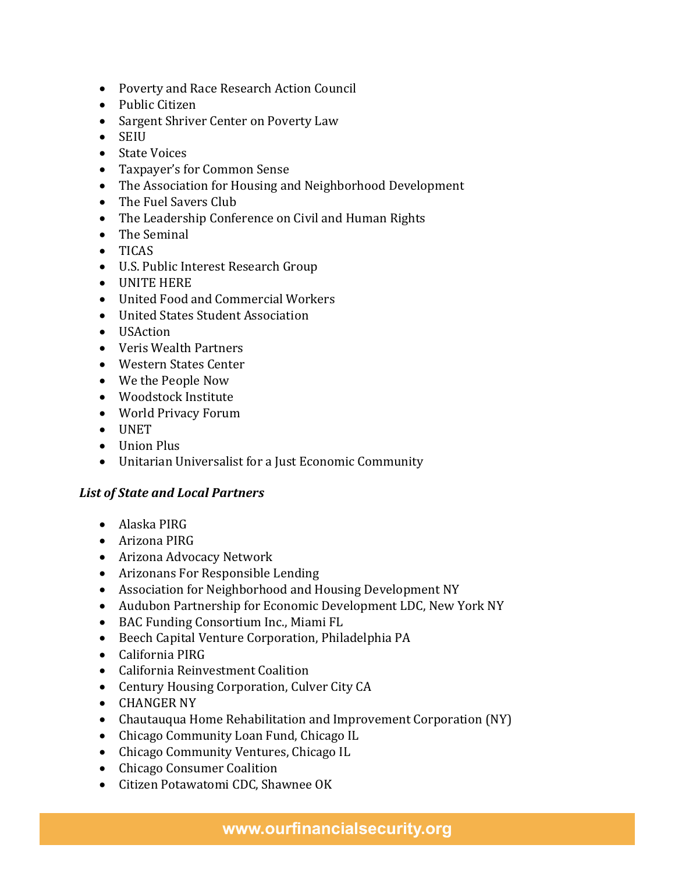- Poverty and Race Research Action Council
- Public Citizen
- Sargent Shriver Center on Poverty Law
- SEIU
- State Voices
- Taxpayer's for Common Sense
- The Association for Housing and Neighborhood Development
- The Fuel Savers Club
- The Leadership Conference on Civil and Human Rights
- The Seminal
- TICAS
- U.S. Public Interest Research Group
- UNITE HERE
- United Food and Commercial Workers
- United States Student Association
- USAction
- Veris Wealth Partners
- Western States Center
- We the People Now
- Woodstock Institute
- World Privacy Forum
- UNET
- Union Plus
- Unitarian Universalist for a Just Economic Community

## *List of State and Local Partners*

- Alaska PIRG
- Arizona PIRG
- Arizona Advocacy Network
- Arizonans For Responsible Lending
- Association for Neighborhood and Housing Development NY
- Audubon Partnership for Economic Development LDC, New York NY
- BAC Funding Consortium Inc., Miami FL
- Beech Capital Venture Corporation, Philadelphia PA
- California PIRG
- California Reinvestment Coalition
- Century Housing Corporation, Culver City CA
- CHANGER NY
- Chautauqua Home Rehabilitation and Improvement Corporation (NY)
- Chicago Community Loan Fund, Chicago IL
- Chicago Community Ventures, Chicago IL
- Chicago Consumer Coalition
- Citizen Potawatomi CDC, Shawnee OK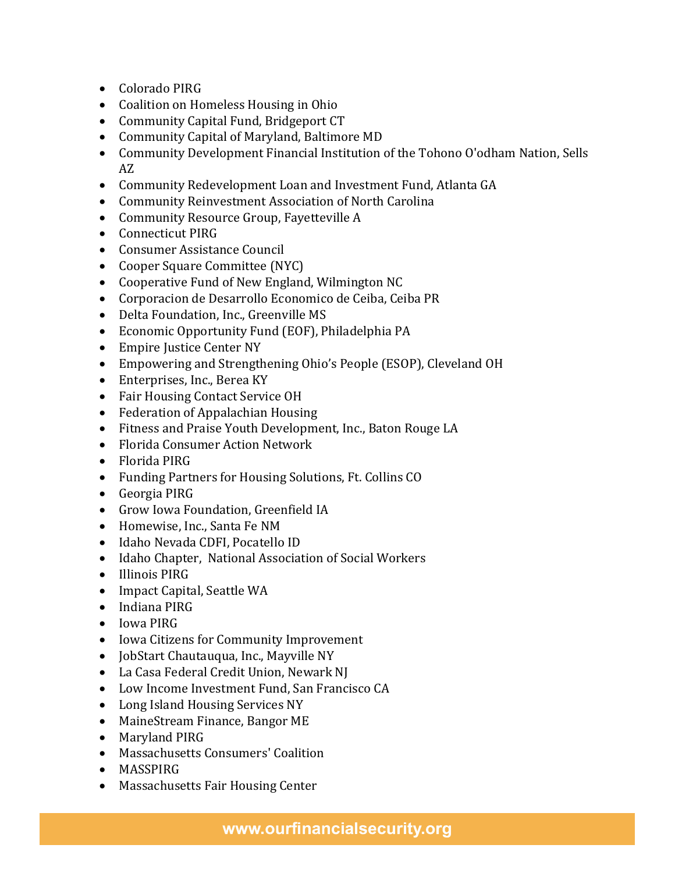- Colorado PIRG
- Coalition on Homeless Housing in Ohio
- Community Capital Fund, Bridgeport CT
- Community Capital of Maryland, Baltimore MD
- Community Development Financial Institution of the Tohono O'odham Nation, Sells AZ
- Community Redevelopment Loan and Investment Fund, Atlanta GA
- Community Reinvestment Association of North Carolina
- Community Resource Group, Fayetteville A
- Connecticut PIRG
- Consumer Assistance Council
- Cooper Square Committee (NYC)
- Cooperative Fund of New England, Wilmington NC
- Corporacion de Desarrollo Economico de Ceiba, Ceiba PR
- Delta Foundation, Inc., Greenville MS
- Economic Opportunity Fund (EOF), Philadelphia PA
- Empire Justice Center NY
- Empowering and Strengthening Ohio's People (ESOP), Cleveland OH
- Enterprises, Inc., Berea KY
- Fair Housing Contact Service OH
- Federation of Appalachian Housing
- Fitness and Praise Youth Development, Inc., Baton Rouge LA
- Florida Consumer Action Network
- Florida PIRG
- Funding Partners for Housing Solutions, Ft. Collins CO
- Georgia PIRG
- Grow Iowa Foundation, Greenfield IA
- Homewise, Inc., Santa Fe NM
- Idaho Nevada CDFI, Pocatello ID
- Idaho Chapter, National Association of Social Workers
- Illinois PIRG
- Impact Capital, Seattle WA
- Indiana PIRG
- Iowa PIRG
- Iowa Citizens for Community Improvement
- JobStart Chautauqua, Inc., Mayville NY
- La Casa Federal Credit Union, Newark NJ
- Low Income Investment Fund, San Francisco CA
- Long Island Housing Services NY
- MaineStream Finance, Bangor ME
- Maryland PIRG
- Massachusetts Consumers' Coalition
- MASSPIRG
- Massachusetts Fair Housing Center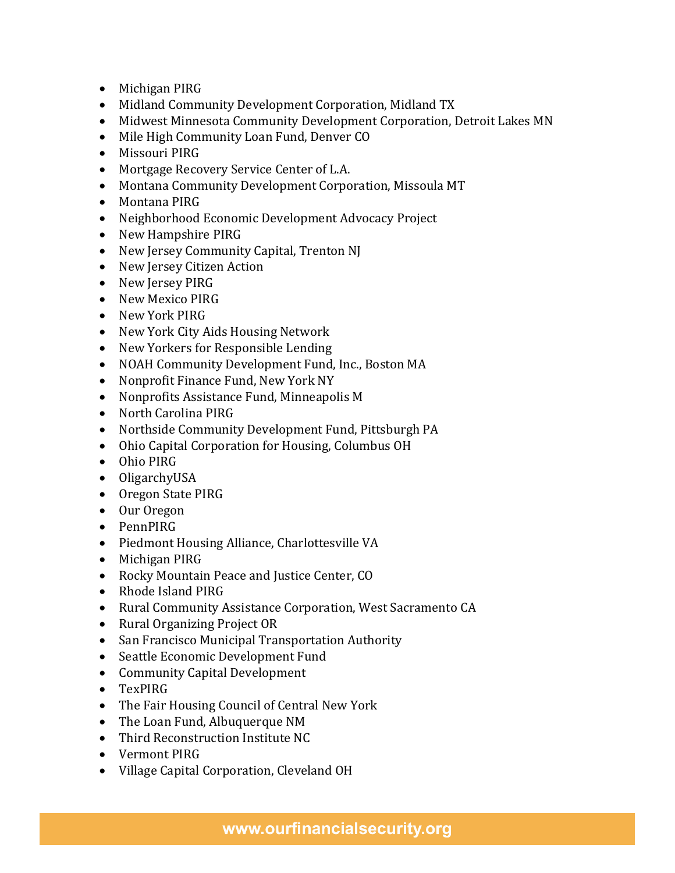- Michigan PIRG
- Midland Community Development Corporation, Midland TX
- Midwest Minnesota Community Development Corporation, Detroit Lakes MN
- Mile High Community Loan Fund, Denver CO
- Missouri PIRG
- Mortgage Recovery Service Center of L.A.
- Montana Community Development Corporation, Missoula MT
- Montana PIRG
- Neighborhood Economic Development Advocacy Project
- New Hampshire PIRG
- New Jersey Community Capital, Trenton NJ
- New Jersey Citizen Action
- New Jersey PIRG
- New Mexico PIRG
- New York PIRG
- New York City Aids Housing Network
- New Yorkers for Responsible Lending
- NOAH Community Development Fund, Inc., Boston MA
- Nonprofit Finance Fund, New York NY
- Nonprofits Assistance Fund, Minneapolis M
- North Carolina PIRG
- Northside Community Development Fund, Pittsburgh PA
- Ohio Capital Corporation for Housing, Columbus OH
- Ohio PIRG
- OligarchyUSA
- Oregon State PIRG
- Our Oregon
- PennPIRG
- Piedmont Housing Alliance, Charlottesville VA
- Michigan PIRG
- Rocky Mountain Peace and Justice Center, CO
- Rhode Island PIRG
- Rural Community Assistance Corporation, West Sacramento CA
- Rural Organizing Project OR
- San Francisco Municipal Transportation Authority
- Seattle Economic Development Fund
- Community Capital Development
- TexPIRG
- The Fair Housing Council of Central New York
- The Loan Fund, Albuquerque NM
- Third Reconstruction Institute NC
- Vermont PIRG
- Village Capital Corporation, Cleveland OH